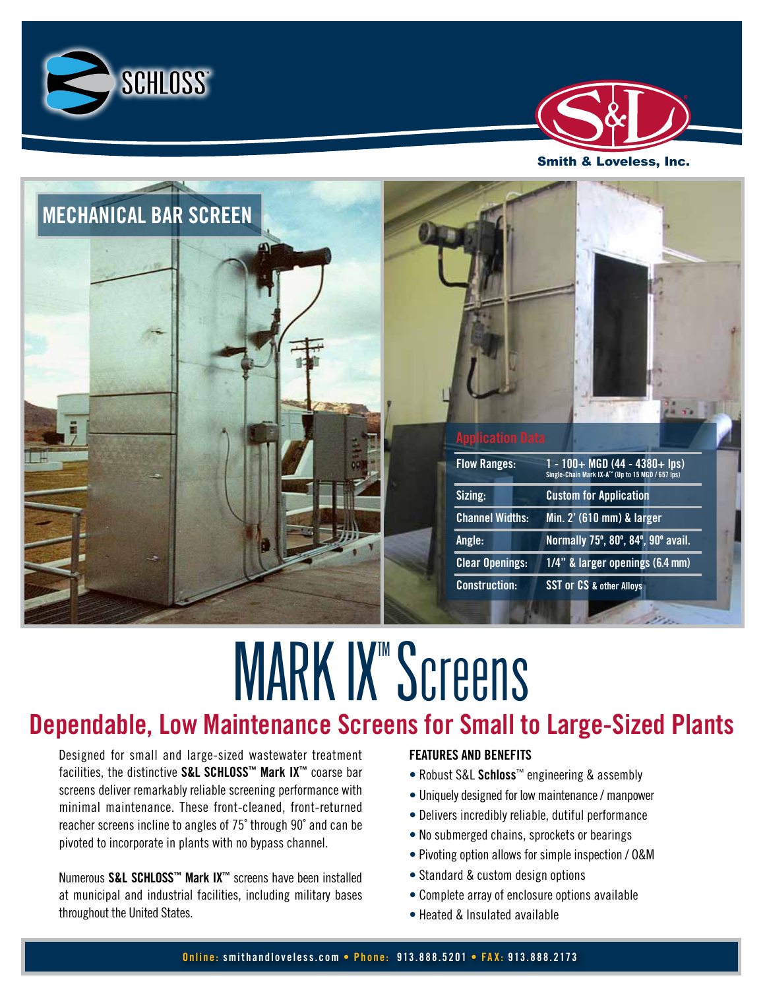





# **MARK IX" Screens Dependable, Low Maintenance Screens for Small to Large-Sized Plants**

Designed for small and large-sized wastewater treatment facilities, the distinctive **S&L SCHLOSS™ Mark IX™** coarse bar screens deliver remarkably reliable screening performance with minimal maintenance. These front-cleaned, front-returned reacher screens incline to angles of 75˚ through 90˚ and can be pivoted to incorporate in plants with no bypass channel.

Numerous **S&L SCHLOSS™ Mark IX™** screens have been installed at municipal and industrial facilities, including military bases throughout the United States.

# **FEATURES AND BENEFITS**

- Robust S&L **Schloss**™ engineering & assembly
- Uniquely designed for low maintenance / manpower
- Delivers incredibly reliable, dutiful performance
- No submerged chains, sprockets or bearings
- Pivoting option allows for simple inspection / O&M
- Standard & custom design options
- Complete array of enclosure options available
- Heated & Insulated available